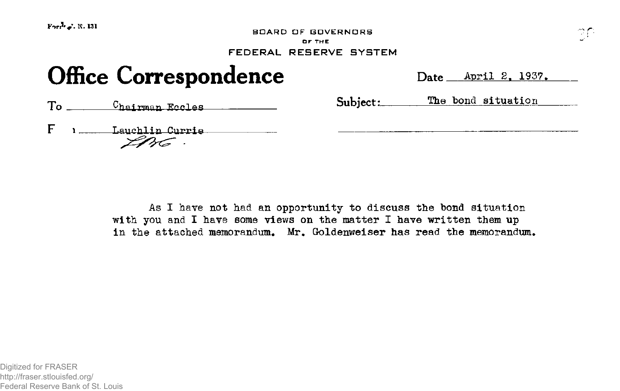**BOARD OF GOVERNORS O F TH E** 

## FEDERAL RESERVE SYSTEM

# **Office Correspondence**

| Date April 2, 1937. |  |  |
|---------------------|--|--|
|                     |  |  |

To Chairman Eccles **Construction** Subject: The bond situation

F 1 Lauchlin Currie<br>
226

As I have not had an opportunity to discuss the bond situation with you and I have some views on the matter I have written them up in the attached memorandum. Mr. Goldenweiser has read the memorandum.

Digitized for FRASER http://fraser.stlouisfed.org/ Federal Reserve Bank of St. Louis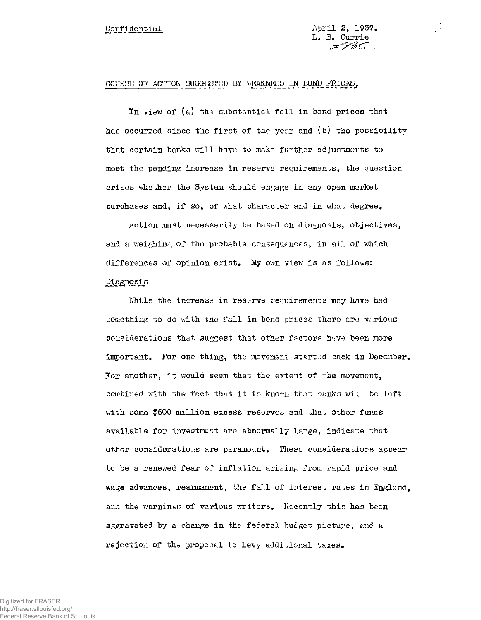17 M

### COURSE OF ACTION SUGGESTED BY WEAKNESS IM BOND PRICES.

In view of (a) the substantial fall in bond prices that has occurred since the first of the year and (b) the possibility that certain banks will have to make further adjustments to meet the pending increase in reserve requirements, the question arises whether the System should engage in any open market purchases and, if so, of what character and in what degree.

Action mast necessarily be based on diagnosis, objectives, and a weighing of the probable consequences, in all of which differences of opinion exist. My own view is as follows: Diagnosis

While the increase in reserve requirements may have had something to do with the fall in bond prices there are  $v_0$ rious considerations that suggest that other factors have been more important. For one thing, the movement started back in December. For another, it would seem that the extent of the movement, combined with the fact that it is known that banks will be left with some \$600 million excess reserves and that other funds available for investment are abnormally large, indicate that other considerations are paramount. These considerations appear to be a renewed fear of inflation arising from rapid price and wage advances, rearmament, the fall of interest rates in England, and the warnings of various writers. Recently this has been aggravated by a change in the federal budget picture, and a rejection of the proposal to levy additional taxes.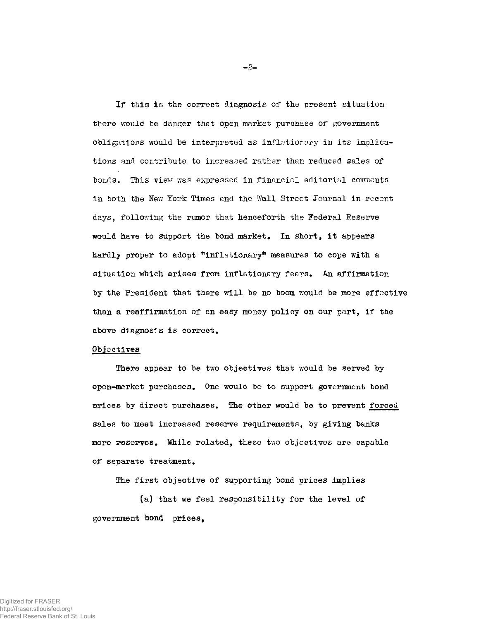If this is the correct diagnosis of the present situation there would be danger that open market purchase of government obligations would be interpreted as inflationary in its implications and contribute to increased rather than reduced sales of bonds. This view was expressed in financial editorial comments in both the New York Times and the Wall Street Journal in recent days, following the rumor that henceforth the Federal Reserve would have to support the bond market, In short, it appears hardly proper to adopt "inflationary" measures to cope with a situation which arises from inflationary fears, An affirmation by the President that there will be no boom would be more effective than a reaffirmation of an easy money policy on our part, if the above diagnosis is correct.

#### Objectives

There appear to be two objectives that would be served by open-market purchases. One would be to support government bond prices by direct purchases. The other would be to prevent forced sales to meet increased reserve requirements, by giving banks more reserves. While related, these two objectives are capable of separate treatment.

The first objective of supporting bond prices implies

(a) that we feel responsibility for the level of government bond prices,

**- 2 -**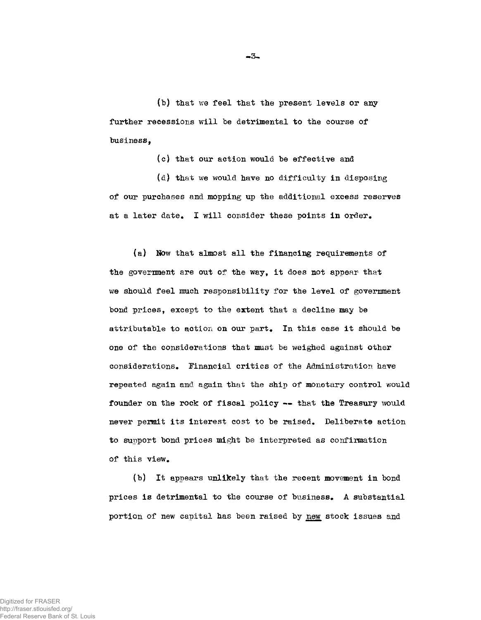(b) that we feel that the present levels or any further recessions will be detrimental to the course of business,

(c) that our action would be effective and

 $(d)$  that we would have no difficulty in disposing of our purchases and mopping up the additional excess reserves at a later date. I will consider these points in order.

(a) How that almost all the financing requirements of the government are out of the way, it does not appear that we should feel much responsibility for the level of government bond prices, except to the extent that a decline may be attributable to action on our part. In this case it should be one of the considerations that must be weighed against other considerations. Financial critics of the Administration have repeated again and again that the ship of monetary control would founder on the rock of fiscal policy — that the Treasury would never permit its interest cost to be raised. Deliberate action to support bond prices  $m$ ight be interpreted as confirmation of this view.

(b) It appears unlikely that the recent movement in bond prices is detrimental to the course of business. A substantial portion of new capital has been raised by new stock issues and

**- 3 -**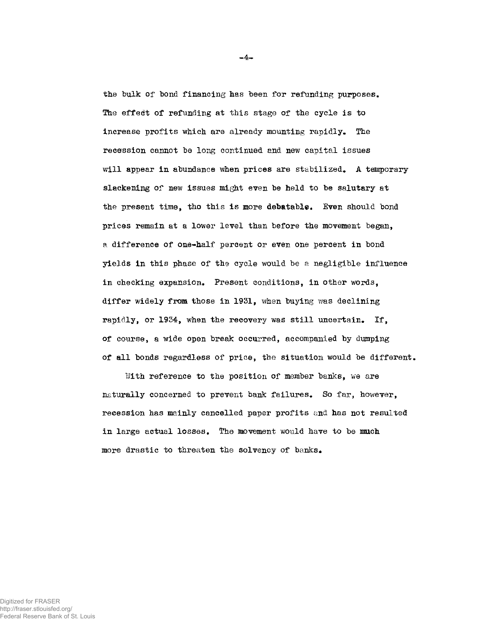the bulk of bond financing has been for refunding purposes. The effect of refunding at this stage of the cycle is to increase profits which are already mounting rapidly. The recession cannot be long continued and new capital issues will appear in abundance when prices are stabilized. A temporary slackening of new issues might even be held to be salutary at the present time, tho this is more debatable. Even should bond prices remain at a lower level than before the movement began, a difference of one-half percent or even one percent in bond yields in this phase of the cycle would be a negligible influence in checking expansion. Present conditions, in other words, differ widely from those in 1931, when buying was declining rapidly, or 1934, when the recovery was still uncertain. If, of course, a wide open break occurred, accompanied by damping of all bonds regardless of price, the situation would be different.

With reference to the position of member banks, we are naturally concerned to prevent bank failures. So far, however, recession has mainly cancelled paper profits and has not resulted in large actual losses. The movement would have to be much more drastic to threaten the solvency of banks.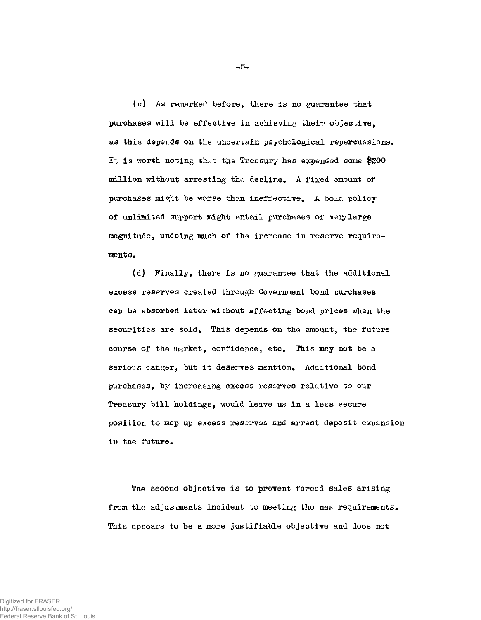(c) As remarked before, there is no guarantee that purchases will be effective in achieving their objective, as this depends on the uncertain psychological repercussions. It is worth noting that the Treasury has expended some \$200 million without arresting the decline. A fixed amount of purchases might be worse than ineffective. A bold policy of unlimited support might entail purchases of very large magnitude, undoing much of the increase in reserve requirements.

(d) Finally, there is no guarantee that the additional excess reserves created through Government bond purchases can be absorbed later without affecting bond prices when the securities are sold. This depends on the amount, the future course of the market, confidence, etc. This may not be a serious danger, but it deserves mention. Additional bond purchases, by increasing excess reserves relative to our Treasury bill holdings, would leave us in a less secure position to mop up excess reserves and arrest deposit expansion in the future.

The second objective is to prevent forced sales arising from the adjustments incident to meeting the new requirements. This appears to be a more justifiable objective and does not

**- 5 -**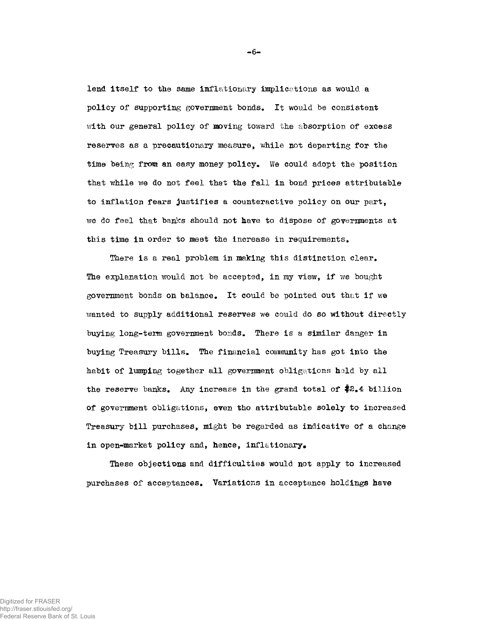lend itself to the same inflationary implications as would a policy of supporting government bonds. It would be consistent wlth our general policy of moving toward the absorption of excess reserves as a precautionary measure, while not departing for the time being from an easy money policy. We could adopt the position that while we do not feel that the fall in bond prices attributable to inflation fears justifies a counteractive policy on our part, we do feel that banks should not have to dispose of governments at this time in order to meet the increase in requirements.

There is a real problem in making this distinction clear. The explanation would not be accepted, in my view, if we bought government bonds on balance. It could be pointed out that if we wanted to supply additional reserves we could do so without directly buying long-term government bonds. There is a similar danger in buying Treasury bills. The financial community has got into the habit of lumping together all government obligations held by all the reserve banks. Any increase in the grand total of #2,4 billion of government obligations, even tho attributable solely to increased Treasury bill purchases, might be regarded as indicative of a change in open-market policy and, hence, inflationary.

These objections and difficulties would not apply to increased purchases of acceptances. Variations in acceptance holdings have

**- 6 -**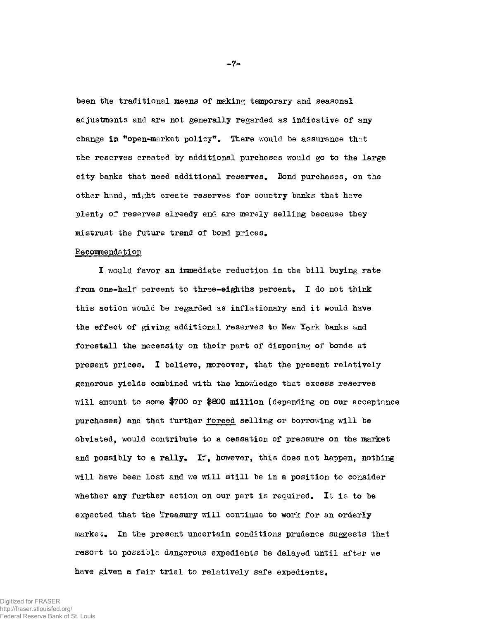been the traditional means of making temporary and seasonal. adjustments and are not generally regarded as indicative of any change in "open-market policy". There would be assurance that the reserves created by additional purchases would go to the large city banks that need additional reserves. Bond purchases, on the other hand, might create reserves for country banks that have plenty of reserves already and are merely selling because they mistrust the future trend of bond prices.

#### Recommendation

I would favor an immediate reduction in the bill buying rate from one-half percent to three-eighths percent. I do not think this action would be regarded as inflationary and it would have the effect of giving additional reserves to New York banks and forestall the necessity on their part of disposing of bonds at present prices. I believe, moreover, that the present relatively generous yields combined with the knowledge that excess reserves will amount to some #700 or #800 million (depending on our acceptance purchases) and that further forced selling or borrowing will be obviated, would contribute to a cessation of pressure on the market and possibly to a rally. If, however, this does not happen, nothing will have been lost and we will still be in a position to consider whether any further action on our part is required. It is to be expected that the Treasury will continue to work for an orderly market. In the present uncertain conditions prudence suggests that resort to possible dangerous expedients be delayed until after we have given a fair trial to relatively safe expedients.

Digitized for FRASER http://fraser.stlouisfed.org/ Federal Reserve Bank of St. Louis